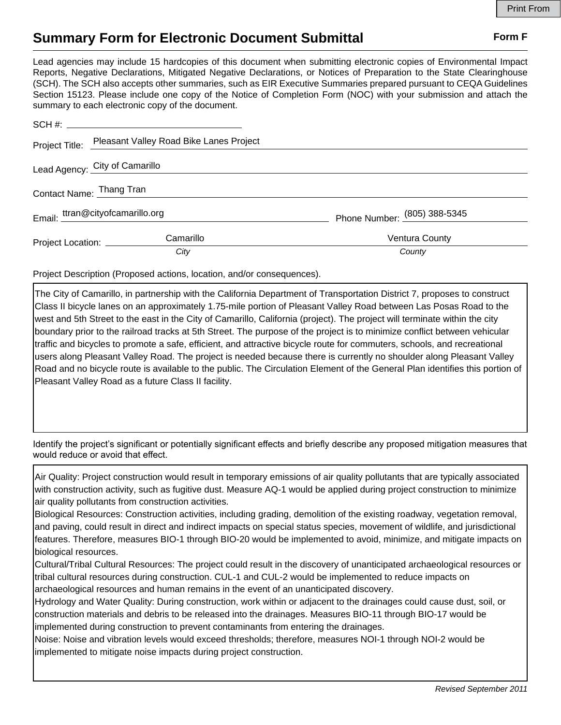## **Summary Form for Electronic Document Submittal Form F Form F**

Lead agencies may include 15 hardcopies of this document when submitting electronic copies of Environmental Impact Reports, Negative Declarations, Mitigated Negative Declarations, or Notices of Preparation to the State Clearinghouse (SCH). The SCH also accepts other summaries, such as EIR Executive Summaries prepared pursuant to CEQA Guidelines Section 15123. Please include one copy of the Notice of Completion Form (NOC) with your submission and attach the summary to each electronic copy of the document.

|                                  | Project Title: Pleasant Valley Road Bike Lanes Project |                              |
|----------------------------------|--------------------------------------------------------|------------------------------|
| Lead Agency: City of Camarillo   |                                                        |                              |
| Contact Name: Thang Tran         |                                                        |                              |
| Email: ttran@cityofcamarillo.org |                                                        | Phone Number: (805) 388-5345 |
| Project Location: ________       | Camarillo                                              | <b>Ventura County</b>        |
|                                  | City                                                   | County                       |

Project Description (Proposed actions, location, and/or consequences).

The City of Camarillo, in partnership with the California Department of Transportation District 7, proposes to construct Class II bicycle lanes on an approximately 1.75-mile portion of Pleasant Valley Road between Las Posas Road to the west and 5th Street to the east in the City of Camarillo, California (project). The project will terminate within the city boundary prior to the railroad tracks at 5th Street. The purpose of the project is to minimize conflict between vehicular traffic and bicycles to promote a safe, efficient, and attractive bicycle route for commuters, schools, and recreational users along Pleasant Valley Road. The project is needed because there is currently no shoulder along Pleasant Valley Road and no bicycle route is available to the public. The Circulation Element of the General Plan identifies this portion of Pleasant Valley Road as a future Class II facility.

Identify the project's significant or potentially significant effects and briefly describe any proposed mitigation measures that would reduce or avoid that effect.

Air Quality: Project construction would result in temporary emissions of air quality pollutants that are typically associated with construction activity, such as fugitive dust. Measure AQ-1 would be applied during project construction to minimize air quality pollutants from construction activities.

Biological Resources: Construction activities, including grading, demolition of the existing roadway, vegetation removal, and paving, could result in direct and indirect impacts on special status species, movement of wildlife, and jurisdictional features. Therefore, measures BIO-1 through BIO-20 would be implemented to avoid, minimize, and mitigate impacts on biological resources.

Cultural/Tribal Cultural Resources: The project could result in the discovery of unanticipated archaeological resources or tribal cultural resources during construction. CUL-1 and CUL-2 would be implemented to reduce impacts on archaeological resources and human remains in the event of an unanticipated discovery.

Hydrology and Water Quality: During construction, work within or adjacent to the drainages could cause dust, soil, or construction materials and debris to be released into the drainages. Measures BIO-11 through BIO-17 would be implemented during construction to prevent contaminants from entering the drainages.

Noise: Noise and vibration levels would exceed thresholds; therefore, measures NOI-1 through NOI-2 would be implemented to mitigate noise impacts during project construction.